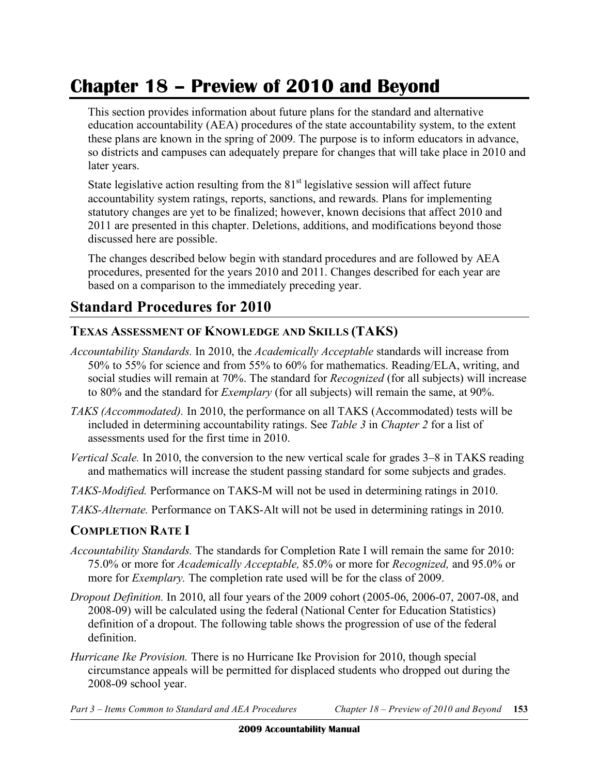# **Chapter 18 – Preview of 2010 and Beyond**

 This section provides information about future plans for the standard and alternative education accountability (AEA) procedures of the state accountability system, to the extent these plans are known in the spring of 2009. The purpose is to inform educators in advance, so districts and campuses can adequately prepare for changes that will take place in 2010 and later years.

State legislative action resulting from the  $81<sup>st</sup>$  legislative session will affect future accountability system ratings, reports, sanctions, and rewards. Plans for implementing statutory changes are yet to be finalized; however, known decisions that affect 2010 and 2011 are presented in this chapter. Deletions, additions, and modifications beyond those discussed here are possible.

 The changes described below begin with standard procedures and are followed by AEA procedures, presented for the years 2010 and 2011. Changes described for each year are based on a comparison to the immediately preceding year.

### **Standard Procedures for 2010**

#### **TEXAS ASSESSMENT OF KNOWLEDGE AND SKILLS (TAKS)**

- *Accountability Standards.* In 2010, the *Academically Acceptable* standards will increase from 50% to 55% for science and from 55% to 60% for mathematics. Reading/ELA, writing, and social studies will remain at 70%. The standard for *Recognized* (for all subjects) will increase to 80% and the standard for *Exemplary* (for all subjects) will remain the same, at 90%.
- *TAKS (Accommodated).* In 2010, the performance on all TAKS (Accommodated) tests will be included in determining accountability ratings. See *Table 3* in *Chapter 2* for a list of assessments used for the first time in 2010.
- *Vertical Scale.* In 2010, the conversion to the new vertical scale for grades 3–8 in TAKS reading and mathematics will increase the student passing standard for some subjects and grades.
- *TAKS-Modified.* Performance on TAKS-M will not be used in determining ratings in 2010.
- *TAKS-Alternate.* Performance on TAKS-Alt will not be used in determining ratings in 2010.

#### **COMPLETION RATE I**

- *Accountability Standards.* The standards for Completion Rate I will remain the same for 2010: 75.0% or more for *Academically Acceptable,* 85.0% or more for *Recognized,* and 95.0% or more for *Exemplary.* The completion rate used will be for the class of 2009.
- *Dropout Definition.* In 2010, all four years of the 2009 cohort (2005-06, 2006-07, 2007-08, and 2008-09) will be calculated using the federal (National Center for Education Statistics) definition of a dropout. The following table shows the progression of use of the federal definition.
- *Hurricane Ike Provision.* There is no Hurricane Ike Provision for 2010, though special circumstance appeals will be permitted for displaced students who dropped out during the 2008-09 school year.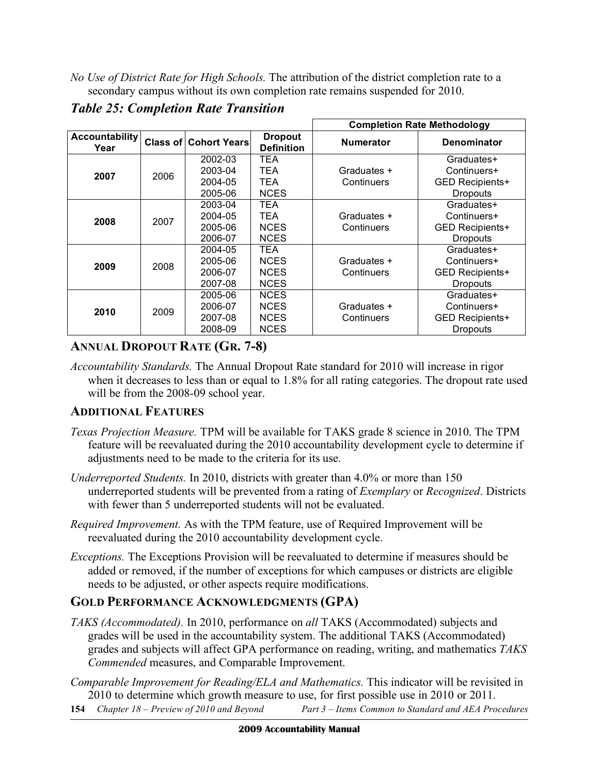*No Use of District Rate for High Schools.* The attribution of the district completion rate to a secondary campus without its own completion rate remains suspended for 2010.

|                               |      |                              |                                     | <b>Completion Rate Methodology</b> |                    |  |
|-------------------------------|------|------------------------------|-------------------------------------|------------------------------------|--------------------|--|
| <b>Accountability</b><br>Year |      | <b>Class of Cohort Years</b> | <b>Dropout</b><br><b>Definition</b> | <b>Numerator</b>                   | <b>Denominator</b> |  |
|                               |      | 2002-03                      | TEA                                 |                                    | Graduates+         |  |
| 2007                          | 2006 | 2003-04                      | TEA                                 | Graduates +                        | Continuers+        |  |
|                               |      | 2004-05                      | TEA                                 | Continuers                         | GED Recipients+    |  |
|                               |      | 2005-06                      | <b>NCES</b>                         |                                    | <b>Dropouts</b>    |  |
|                               |      | 2003-04                      | <b>TEA</b>                          |                                    | Graduates+         |  |
| 2008                          | 2007 | 2004-05                      | <b>TEA</b>                          | Graduates +                        | Continuers+        |  |
|                               |      | 2005-06                      | <b>NCES</b>                         | Continuers                         | GED Recipients+    |  |
|                               |      | 2006-07                      | <b>NCES</b>                         |                                    | <b>Dropouts</b>    |  |
|                               |      | 2004-05                      | TEA                                 |                                    | Graduates+         |  |
| 2009                          | 2008 | 2005-06                      | <b>NCES</b>                         | Graduates +                        | Continuers+        |  |
|                               |      | 2006-07                      | <b>NCES</b>                         | Continuers                         | GED Recipients+    |  |
|                               |      | 2007-08                      | <b>NCES</b>                         |                                    | <b>Dropouts</b>    |  |
|                               |      | 2005-06                      | <b>NCES</b>                         |                                    | Graduates+         |  |
| 2010                          | 2009 | 2006-07                      | <b>NCES</b>                         | Graduates +                        | Continuers+        |  |
|                               |      | 2007-08                      | <b>NCES</b>                         | Continuers                         | GED Recipients+    |  |
|                               |      | 2008-09                      | <b>NCES</b>                         |                                    | Dropouts           |  |

 *Table 25: Completion Rate Transition* 

### **ANNUAL DROPOUT RATE (GR. 7-8)**

 *Accountability Standards.* The Annual Dropout Rate standard for 2010 will increase in rigor when it decreases to less than or equal to 1.8% for all rating categories. The dropout rate used will be from the 2008-09 school year.

#### **ADDITIONAL FEATURES**

- *Texas Projection Measure.* TPM will be available for TAKS grade 8 science in 2010. The TPM feature will be reevaluated during the 2010 accountability development cycle to determine if adjustments need to be made to the criteria for its use.
- *Underreported Students.* In 2010, districts with greater than 4.0% or more than 150 underreported students will be prevented from a rating of *Exemplary* or *Recognized*. Districts with fewer than 5 underreported students will not be evaluated.
- *Required Improvement.* As with the TPM feature, use of Required Improvement will be reevaluated during the 2010 accountability development cycle.
- *Exceptions.* The Exceptions Provision will be reevaluated to determine if measures should be added or removed, if the number of exceptions for which campuses or districts are eligible needs to be adjusted, or other aspects require modifications.

#### **GOLD PERFORMANCE ACKNOWLEDGMENTS (GPA)**

- *TAKS (Accommodated).* In 2010, performance on *all* TAKS (Accommodated) subjects and grades will be used in the accountability system. The additional TAKS (Accommodated) grades and subjects will affect GPA performance on reading, writing, and mathematics *TAKS Commended* measures, and Comparable Improvement.
- *Comparable Improvement for Reading/ELA and Mathematics.* This indicator will be revisited in 2010 to determine which growth measure to use, for first possible use in 2010 or 2011.
- 154 Chapter 18 Preview of 2010 and Beyond **154** *Chapter 18 – Preview of 2010 and Beyond Part 3 – Items Common to Standard and AEA Procedures*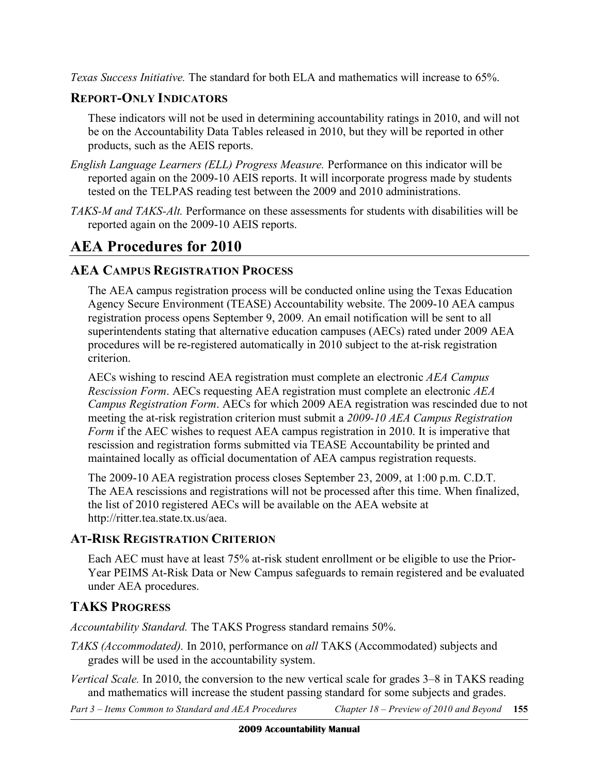*Texas Success Initiative.* The standard for both ELA and mathematics will increase to 65%.

#### **REPORT-ONLY INDICATORS**

 These indicators will not be used in determining accountability ratings in 2010, and will not be on the Accountability Data Tables released in 2010, but they will be reported in other products, such as the AEIS reports.

- *English Language Learners (ELL) Progress Measure.* Performance on this indicator will be reported again on the 2009-10 AEIS reports. It will incorporate progress made by students tested on the TELPAS reading test between the 2009 and 2010 administrations.
- *TAKS-M and TAKS-Alt.* Performance on these assessments for students with disabilities will be reported again on the 2009-10 AEIS reports.

### **AEA Procedures for 2010**

### **AEA CAMPUS REGISTRATION PROCESS**

 The AEA campus registration process will be conducted online using the Texas Education Agency Secure Environment (TEASE) Accountability website. The 2009-10 AEA campus registration process opens September 9, 2009. An email notification will be sent to all superintendents stating that alternative education campuses (AECs) rated under 2009 AEA procedures will be re-registered automatically in 2010 subject to the at-risk registration criterion.

 AECs wishing to rescind AEA registration must complete an electronic *AEA Campus Rescission Form*. AECs requesting AEA registration must complete an electronic *AEA Campus Registration Form*. AECs for which 2009 AEA registration was rescinded due to not meeting the at-risk registration criterion must submit a *2009-10 AEA Campus Registration Form* if the AEC wishes to request AEA campus registration in 2010. It is imperative that rescission and registration forms submitted via TEASE Accountability be printed and maintained locally as official documentation of AEA campus registration requests.

 The 2009-10 AEA registration process closes September 23, 2009, at 1:00 p.m. C.D.T. The AEA rescissions and registrations will not be processed after this time. When finalized, the list of 2010 registered AECs will be available on the AEA website at http://ritter.tea.state.tx.us/aea.

#### **AT-RISK REGISTRATION CRITERION**

 Each AEC must have at least 75% at-risk student enrollment or be eligible to use the Prior- Year PEIMS At-Risk Data or New Campus safeguards to remain registered and be evaluated under AEA procedures.

### **TAKS PROGRESS**

*Accountability Standard.* The TAKS Progress standard remains 50%.

- *TAKS (Accommodated).* In 2010, performance on *all* TAKS (Accommodated) subjects and grades will be used in the accountability system.
- *Vertical Scale.* In 2010, the conversion to the new vertical scale for grades 3–8 in TAKS reading and mathematics will increase the student passing standard for some subjects and grades.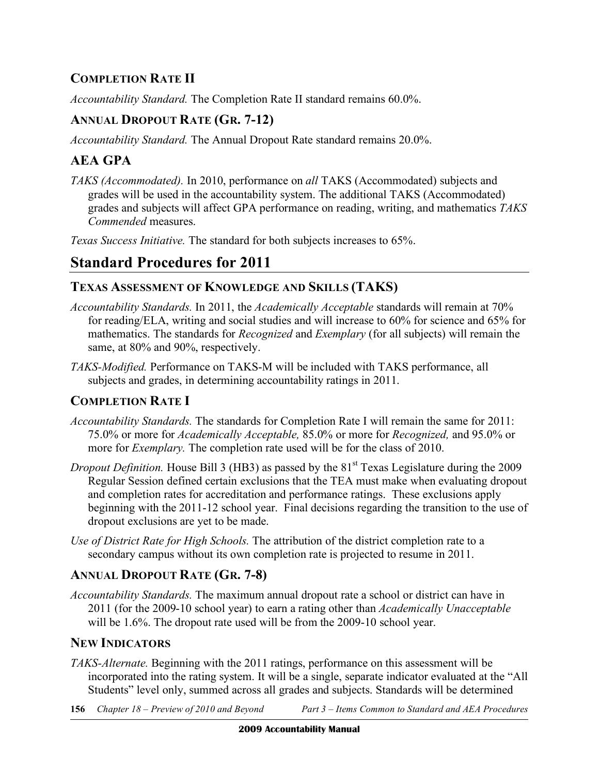### **COMPLETION RATE II**

*Accountability Standard.* The Completion Rate II standard remains 60.0%.

### **ANNUAL DROPOUT RATE (GR. 7-12)**

*Accountability Standard.* The Annual Dropout Rate standard remains 20.0%.

### **AEA GPA**

 *TAKS (Accommodated).* In 2010, performance on *all* TAKS (Accommodated) subjects and grades will be used in the accountability system. The additional TAKS (Accommodated) grades and subjects will affect GPA performance on reading, writing, and mathematics *TAKS Commended* measures.

 *Texas Success Initiative.* The standard for both subjects increases to 65%.

## **Standard Procedures for 2011**

### **TEXAS ASSESSMENT OF KNOWLEDGE AND SKILLS (TAKS)**

- *Accountability Standards.* In 2011, the *Academically Acceptable* standards will remain at 70% for reading/ELA, writing and social studies and will increase to 60% for science and 65% for mathematics. The standards for *Recognized* and *Exemplary* (for all subjects) will remain the same, at 80% and 90%, respectively.
- *TAKS-Modified.* Performance on TAKS-M will be included with TAKS performance, all subjects and grades, in determining accountability ratings in 2011.

### **COMPLETION RATE I**

- *Accountability Standards.* The standards for Completion Rate I will remain the same for 2011: 75.0% or more for *Academically Acceptable,* 85.0% or more for *Recognized,* and 95.0% or more for *Exemplary.* The completion rate used will be for the class of 2010.
- *Dropout Definition*. House Bill 3 (HB3) as passed by the 81<sup>st</sup> Texas Legislature during the 2009 Regular Session defined certain exclusions that the TEA must make when evaluating dropout and completion rates for accreditation and performance ratings. These exclusions apply beginning with the 2011-12 school year. Final decisions regarding the transition to the use of dropout exclusions are yet to be made.
- *Use of District Rate for High Schools.* The attribution of the district completion rate to a secondary campus without its own completion rate is projected to resume in 2011.

### **ANNUAL DROPOUT RATE (GR. 7-8)**

 *Accountability Standards.* The maximum annual dropout rate a school or district can have in 2011 (for the 2009-10 school year) to earn a rating other than *Academically Unacceptable*  will be 1.6%. The dropout rate used will be from the 2009-10 school year.

### **NEW INDICATORS**

- *TAKS-Alternate.* Beginning with the 2011 ratings, performance on this assessment will be incorporated into the rating system. It will be a single, separate indicator evaluated at the "All Students" level only, summed across all grades and subjects. Standards will be determined
- 156 Chapter  $18$  Preview of 2010 and Beyond **156** *Chapter 18 – Preview of 2010 and Beyond Part 3 – Items Common to Standard and AEA Procedures*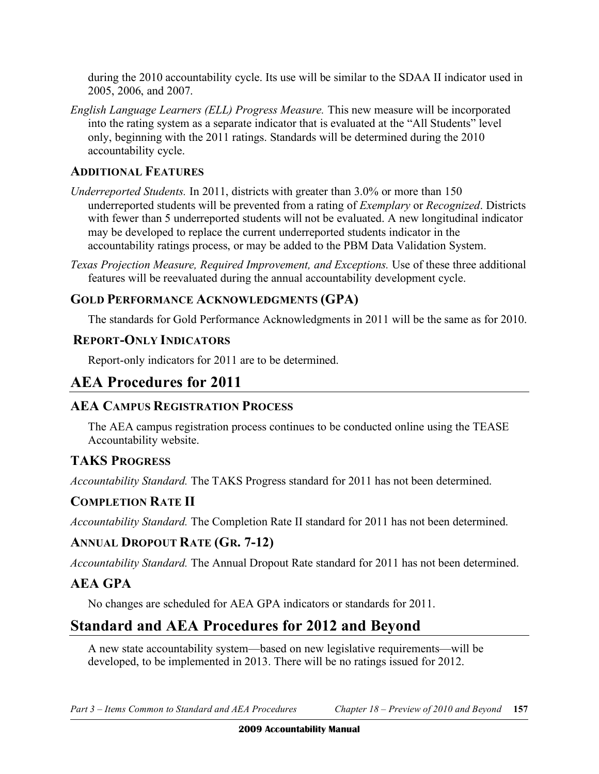during the 2010 accountability cycle. Its use will be similar to the SDAA II indicator used in 2005, 2006, and 2007.

 *English Language Learners (ELL) Progress Measure.* This new measure will be incorporated into the rating system as a separate indicator that is evaluated at the "All Students" level only, beginning with the 2011 ratings. Standards will be determined during the 2010 accountability cycle.

#### **ADDITIONAL FEATURES**

- *Underreported Students.* In 2011, districts with greater than 3.0% or more than 150 underreported students will be prevented from a rating of *Exemplary* or *Recognized*. Districts with fewer than 5 underreported students will not be evaluated. A new longitudinal indicator may be developed to replace the current underreported students indicator in the accountability ratings process, or may be added to the PBM Data Validation System.
- Texas Projection Measure, Required Improvement, and Exceptions. Use of these three additional features will be reevaluated during the annual accountability development cycle.

#### **GOLD PERFORMANCE ACKNOWLEDGMENTS (GPA)**

The standards for Gold Performance Acknowledgments in 2011 will be the same as for 2010.

#### **REPORT-ONLY INDICATORS**

Report-only indicators for 2011 are to be determined.

### **AEA Procedures for 2011**

#### **AEA CAMPUS REGISTRATION PROCESS**

 The AEA campus registration process continues to be conducted online using the TEASE Accountability website.

### **TAKS PROGRESS**

*Accountability Standard.* The TAKS Progress standard for 2011 has not been determined.

#### **COMPLETION RATE II**

*Accountability Standard.* The Completion Rate II standard for 2011 has not been determined.

### **ANNUAL DROPOUT RATE (GR. 7-12)**

*Accountability Standard.* The Annual Dropout Rate standard for 2011 has not been determined.

#### **AEA GPA**

No changes are scheduled for AEA GPA indicators or standards for 2011.

### **Standard and AEA Procedures for 2012 and Beyond**

 A new state accountability system—based on new legislative requirements—will be developed, to be implemented in 2013. There will be no ratings issued for 2012.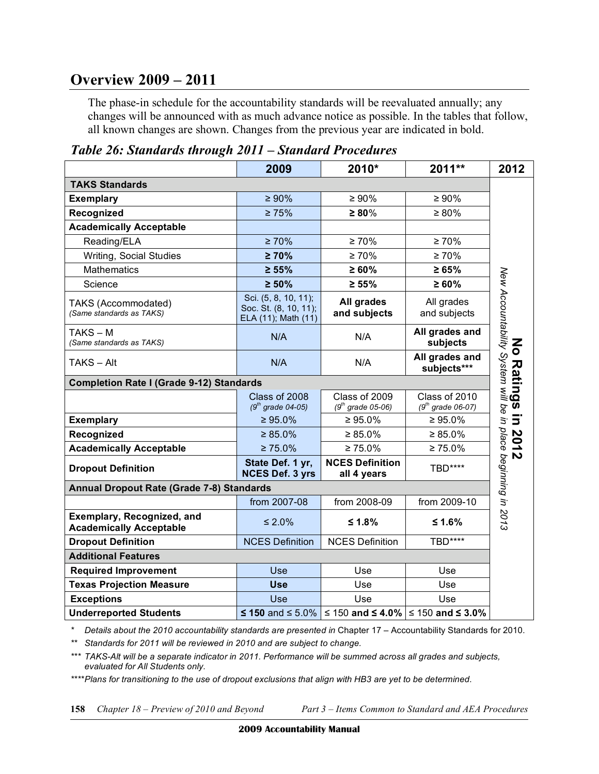### **Overview 2009 – 2011**

 The phase-in schedule for the accountability standards will be reevaluated annually; any changes will be announced with as much advance notice as possible. In the tables that follow, all known changes are shown. Changes from the previous year are indicated in bold.

|                                                              | 2009                                                                 | 2010*                                                        | 2011**                                        | 2012                                                         |
|--------------------------------------------------------------|----------------------------------------------------------------------|--------------------------------------------------------------|-----------------------------------------------|--------------------------------------------------------------|
| <b>TAKS Standards</b>                                        |                                                                      |                                                              |                                               |                                                              |
| <b>Exemplary</b>                                             | $\geq 90\%$                                                          | $\geq 90\%$                                                  | $\geq 90\%$                                   |                                                              |
| Recognized                                                   | $\geq 75\%$                                                          | $\geq 80\%$                                                  | $\geq 80\%$                                   |                                                              |
| <b>Academically Acceptable</b>                               |                                                                      |                                                              |                                               |                                                              |
| Reading/ELA                                                  | $\geq 70\%$                                                          | $\geq 70\%$                                                  | $\geq 70\%$                                   |                                                              |
| Writing, Social Studies                                      | $\geq 70\%$                                                          | $\geq 70\%$                                                  | $\geq 70\%$                                   |                                                              |
| <b>Mathematics</b>                                           | $\geq 55\%$                                                          | $\geq 60\%$                                                  | $\geq 65\%$                                   |                                                              |
| Science                                                      | $\geq 50\%$                                                          | $\geq 55\%$                                                  | $\geq 60\%$                                   |                                                              |
| TAKS (Accommodated)<br>(Same standards as TAKS)              | Sci. (5, 8, 10, 11);<br>Soc. St. (8, 10, 11);<br>ELA (11); Math (11) | All grades<br>and subjects                                   | All grades<br>and subjects                    | New Accountability System will be in place beginning in 2013 |
| TAKS-M<br>(Same standards as TAKS)                           | N/A                                                                  | N/A                                                          | All grades and<br>subjects                    |                                                              |
| TAKS – Alt                                                   | N/A                                                                  | N/A                                                          | All grades and<br>subjects***                 |                                                              |
| <b>Completion Rate I (Grade 9-12) Standards</b>              |                                                                      |                                                              |                                               |                                                              |
|                                                              | Class of 2008<br>$(9^{th}$ grade 04-05)                              | Class of 2009<br>$(9^{th}$ grade 05-06)                      | Class of 2010<br>$(9th \text{ grade } 06-07)$ |                                                              |
| <b>Exemplary</b>                                             | $\geq 95.0\%$                                                        | $\geq 95.0\%$                                                | $\geq 95.0\%$                                 |                                                              |
| Recognized                                                   | $\geq 85.0\%$                                                        | $\geq 85.0\%$                                                | $\geq 85.0\%$                                 |                                                              |
| <b>Academically Acceptable</b>                               | $\geq 75.0\%$                                                        | $\geq 75.0\%$                                                | $\geq 75.0\%$                                 |                                                              |
| <b>Dropout Definition</b>                                    | State Def. 1 yr,<br><b>NCES Def. 3 yrs</b>                           | <b>NCES Definition</b><br>all 4 years                        | TBD****                                       |                                                              |
| <b>Annual Dropout Rate (Grade 7-8) Standards</b>             |                                                                      |                                                              |                                               |                                                              |
|                                                              | from 2007-08                                                         | from 2008-09                                                 | from 2009-10                                  |                                                              |
| Exemplary, Recognized, and<br><b>Academically Acceptable</b> | $\leq 2.0\%$                                                         | ≤ 1.8%                                                       | ≤ 1.6%                                        |                                                              |
| <b>Dropout Definition</b>                                    | <b>NCES Definition</b>                                               | <b>NCES Definition</b>                                       | <b>TBD****</b>                                |                                                              |
| <b>Additional Features</b>                                   |                                                                      |                                                              |                                               |                                                              |
| <b>Required Improvement</b>                                  | Use                                                                  | Use                                                          | Use                                           |                                                              |
| <b>Texas Projection Measure</b>                              | <b>Use</b>                                                           | Use                                                          | Use                                           |                                                              |
| <b>Exceptions</b>                                            | Use                                                                  | Use                                                          | Use                                           |                                                              |
| <b>Underreported Students</b>                                |                                                                      | ≤ 150 and ≤ 5.0% $\leq$ 150 and ≤ 4.0% $\leq$ 150 and ≤ 3.0% |                                               |                                                              |

 *Table 26: Standards through 2011 – Standard Procedures* 

 *\* Details about the 2010 accountability standards are presented in* Chapter 17 – Accountability Standards for 2010.

 *\*\* Standards for 2011 will be reviewed in 2010 and are subject to change.*

 *\*\*\* TAKS-Alt will be a separate indicator in 2011. Performance will be summed across all grades and subjects, evaluated for All Students only.* 

 *\*\*\*\*Plans for transitioning to the use of dropout exclusions that align with HB3 are yet to be determined*.

Chapter 18 – Preview of 2010 and Beyond

**158** *Chapter 18 – Preview of 2010 and Beyond Part 3 – Items Common to Standard and AEA Procedures*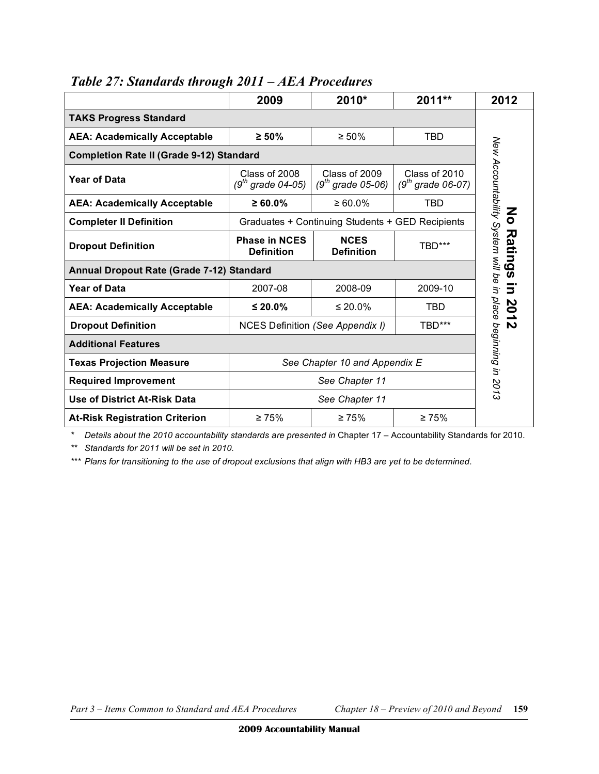|                                                 | 2009                                             | 2010*                                   | $2011**$                                      | 2012                                 |  |  |  |
|-------------------------------------------------|--------------------------------------------------|-----------------------------------------|-----------------------------------------------|--------------------------------------|--|--|--|
| <b>TAKS Progress Standard</b>                   |                                                  |                                         |                                               |                                      |  |  |  |
| <b>AEA: Academically Acceptable</b>             | $\geq 50\%$                                      | $\geq 50\%$                             | <b>TBD</b>                                    |                                      |  |  |  |
| <b>Completion Rate II (Grade 9-12) Standard</b> |                                                  |                                         |                                               |                                      |  |  |  |
| <b>Year of Data</b>                             | Class of 2008<br>(9 <sup>th</sup> grade 04-05)   | Class of 2009<br>$(9^{th}$ grade 05-06) | Class of 2010<br>$(9th \text{ grade } 06-07)$ | New Accountability System will be in |  |  |  |
| <b>AEA: Academically Acceptable</b>             | $\geq 60.0\%$                                    | $\geq 60.0\%$                           | <b>TBD</b>                                    | Z                                    |  |  |  |
| <b>Completer II Definition</b>                  | Graduates + Continuing Students + GED Recipients | $\bullet$                               |                                               |                                      |  |  |  |
| <b>Dropout Definition</b>                       | <b>Phase in NCES</b><br><b>Definition</b>        | <b>NCES</b><br><b>Definition</b>        | TBD***                                        | Rati                                 |  |  |  |
| Annual Dropout Rate (Grade 7-12) Standard       |                                                  |                                         |                                               | ھ<br>ഗ                               |  |  |  |
| <b>Year of Data</b>                             | 2007-08                                          | 2008-09                                 | 2009-10                                       | $\overline{\mathbf{5}}$              |  |  |  |
| <b>AEA: Academically Acceptable</b>             | ≤ 20.0%                                          | $\leq 20.0\%$                           | <b>TBD</b>                                    | 201                                  |  |  |  |
| <b>Dropout Definition</b>                       |                                                  | NCES Definition (See Appendix I)        | TBD***                                        | $\mathbf{v}$                         |  |  |  |
| <b>Additional Features</b>                      | place beginning in 2013                          |                                         |                                               |                                      |  |  |  |
| <b>Texas Projection Measure</b>                 | See Chapter 10 and Appendix E                    |                                         |                                               |                                      |  |  |  |
| <b>Required Improvement</b>                     | See Chapter 11                                   |                                         |                                               |                                      |  |  |  |
| Use of District At-Risk Data                    |                                                  | See Chapter 11                          |                                               |                                      |  |  |  |
| <b>At-Risk Registration Criterion</b>           | $\geq 75\%$                                      | $\geq 75\%$                             | $\geq 75\%$                                   |                                      |  |  |  |

#### *Table 27: Standards through 2011 – AEA Procedures*

 *\* Details about the 2010 accountability standards are presented in* Chapter 17 – Accountability Standards for 2010.

 *\*\* Standards for 2011 will be set in 2010.*

 *\*\*\* Plans for transitioning to the use of dropout exclusions that align with HB3 are yet to be determined*.